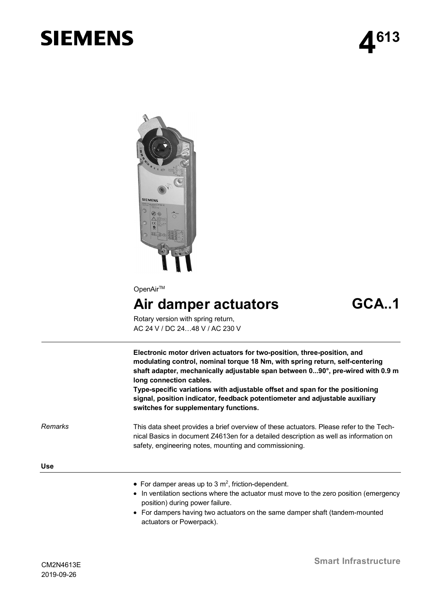# **SIEMENS**



OpenAir<sup>™</sup>

# Air damper actuators **GCA..1**

Rotary version with spring return, AC 24 V / DC 24…48 V / AC 230 V

**Electronic motor driven actuators for two-position, three-position, and modulating control, nominal torque 18 Nm, with spring return, self-centering shaft adapter, mechanically adjustable span between 0...90°, pre-wired with 0.9 m long connection cables.**

**Type-specific variations with adjustable offset and span for the positioning signal, position indicator, feedback potentiometer and adjustable auxiliary switches for supplementary functions.**

*Remarks*

This data sheet provides a brief overview of these actuators. Please refer to the Technical Basics in document Z4613en for a detailed description as well as information on safety, engineering notes, mounting and commissioning.

**Use**

- For damper areas up to 3  $m^2$ , friction-dependent.
- · In ventilation sections where the actuator must move to the zero position (emergency position) during power failure.
- · For dampers having two actuators on the same damper shaft (tandem-mounted actuators or Powerpack).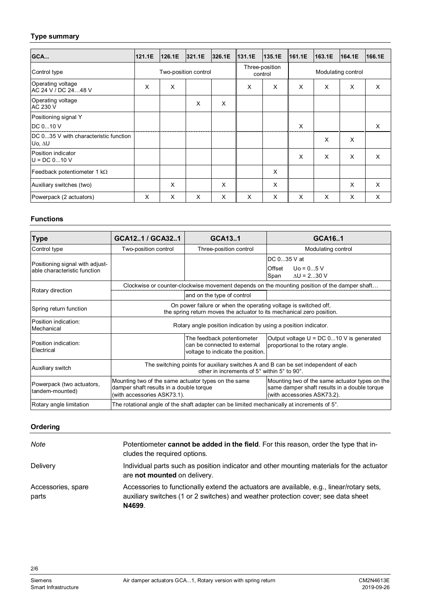# **Type summary**

| GCA                                             | 121.1E               | 126.1E | 321.1E | 326.1E                    | 131.1E | 135.1E             | 161.1E | 163.1E | 164.1E | 166.1E |
|-------------------------------------------------|----------------------|--------|--------|---------------------------|--------|--------------------|--------|--------|--------|--------|
| Control type                                    | Two-position control |        |        | Three-position<br>control |        | Modulating control |        |        |        |        |
| Operating voltage<br>AC 24 V / DC 2448 V        | X                    | X      |        |                           | X      | X                  | X      | X      | X      | X      |
| Operating voltage<br><b>AC 230 V</b>            |                      |        | X      | X                         |        |                    |        |        |        |        |
| Positioning signal Y                            |                      |        |        |                           |        |                    |        |        |        |        |
| DC 010 V                                        |                      |        |        |                           |        |                    | X      |        |        | X      |
| DC 035 V with characteristic function<br>Uo, AU |                      |        |        |                           |        |                    |        | X      | X      |        |
| Position indicator<br>$U = DC 010 V$            |                      |        |        |                           |        |                    | X      | X      | X      | X      |
| Feedback potentiometer 1 k $\Omega$             |                      |        |        |                           |        | X                  |        |        |        |        |
| Auxiliary switches (two)                        |                      | X      |        | X                         |        | X                  |        |        | X      | X      |
| Powerpack (2 actuators)                         | X                    | X      | X      | X                         | X      | X                  | X      | X      | X      | X      |

## **Functions**

| <b>Type</b>                                                     | GCA121 / GCA321                                                                                                                          | GCA131                                                                                          | GCA161                                                                                                                        |  |  |  |
|-----------------------------------------------------------------|------------------------------------------------------------------------------------------------------------------------------------------|-------------------------------------------------------------------------------------------------|-------------------------------------------------------------------------------------------------------------------------------|--|--|--|
| Control type                                                    | Two-position control                                                                                                                     | Three-position control                                                                          | Modulating control                                                                                                            |  |  |  |
| Positioning signal with adjust-<br>able characteristic function |                                                                                                                                          |                                                                                                 | DC 035 V at<br>$U_0 = 05 V$<br>Offset<br>$\Delta U = 230$ V<br>Span                                                           |  |  |  |
| Rotary direction                                                | Clockwise or counter-clockwise movement depends on the mounting position of the damper shaft                                             |                                                                                                 |                                                                                                                               |  |  |  |
|                                                                 |                                                                                                                                          | and on the type of control                                                                      |                                                                                                                               |  |  |  |
| Spring return function                                          | On power failure or when the operating voltage is switched off,<br>the spring return moves the actuator to its mechanical zero position. |                                                                                                 |                                                                                                                               |  |  |  |
| Position indication:<br>Mechanical                              | Rotary angle position indication by using a position indicator.                                                                          |                                                                                                 |                                                                                                                               |  |  |  |
| Position indication:<br>Electrical                              |                                                                                                                                          | The feedback potentiometer<br>can be connected to external<br>voltage to indicate the position. | Output voltage $U = DC 0$ 10 V is generated<br>proportional to the rotary angle.                                              |  |  |  |
| Auxiliary switch                                                | The switching points for auxiliary switches A and B can be set independent of each<br>other in increments of 5° within 5° to 90°.        |                                                                                                 |                                                                                                                               |  |  |  |
| Powerpack (two actuators,<br>tandem-mounted)                    | Mounting two of the same actuator types on the same<br>damper shaft results in a double torque<br>(with accessories ASK73.1).            |                                                                                                 | Mounting two of the same actuator types on the<br>same damper shaft results in a double torque<br>(with accessories ASK73.2). |  |  |  |
| Rotary angle limitation                                         | The rotational angle of the shaft adapter can be limited mechanically at increments of $5^\circ$ .                                       |                                                                                                 |                                                                                                                               |  |  |  |

# **Ordering**

| Note                        | Potentiometer cannot be added in the field. For this reason, order the type that in-<br>cludes the required options.                                                                     |
|-----------------------------|------------------------------------------------------------------------------------------------------------------------------------------------------------------------------------------|
| Delivery                    | Individual parts such as position indicator and other mounting materials for the actuator<br>are not mounted on delivery.                                                                |
| Accessories, spare<br>parts | Accessories to functionally extend the actuators are available, e.g., linear/rotary sets,<br>auxiliary switches (1 or 2 switches) and weather protection cover; see data sheet<br>N4699. |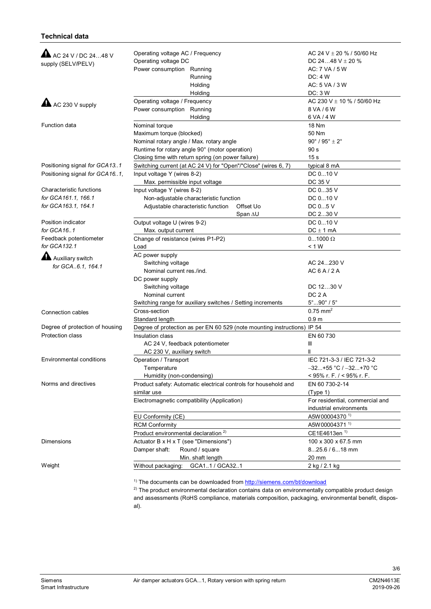#### **Technical data**

| A AC 24 V / DC 2448 V<br>supply (SELV/PELV) | Operating voltage AC / Frequency<br>Operating voltage DC<br>Power consumption Running<br>Running | AC 24 V $\pm$ 20 % / 50/60 Hz<br>DC 2448 V $\pm$ 20 %<br>AC: 7 VA / 5 W<br>DC: 4 W |  |  |
|---------------------------------------------|--------------------------------------------------------------------------------------------------|------------------------------------------------------------------------------------|--|--|
|                                             | Holding                                                                                          | AC: 5 VA / 3 W                                                                     |  |  |
|                                             | Holding                                                                                          | DC: 3 W                                                                            |  |  |
| $\triangle$ AC 230 V supply                 | Operating voltage / Frequency                                                                    | AC 230 V ± 10 % / 50/60 Hz                                                         |  |  |
|                                             | Power consumption Running<br>Holding                                                             | 8 VA / 6 W<br>6 VA / 4 W                                                           |  |  |
| Function data                               | Nominal torque                                                                                   | <b>18 Nm</b>                                                                       |  |  |
|                                             | Maximum torque (blocked)                                                                         | 50 Nm                                                                              |  |  |
|                                             | Nominal rotary angle / Max. rotary angle                                                         | $90^\circ$ / $95^\circ \pm 2^\circ$                                                |  |  |
|                                             | Runtime for rotary angle 90° (motor operation)                                                   | 90 <sub>s</sub>                                                                    |  |  |
|                                             | Closing time with return spring (on power failure)                                               | 15 <sub>s</sub>                                                                    |  |  |
| Positioning signal for GCA13.1              | Switching current (at AC 24 V) for "Open"/"Close" (wires 6, 7)                                   | typical 8 mA                                                                       |  |  |
| Positioning signal for GCA16.1,             | Input voltage Y (wires 8-2)                                                                      | DC 010 V                                                                           |  |  |
|                                             | Max. permissible input voltage                                                                   | DC 35 V                                                                            |  |  |
| Characteristic functions                    | Input voltage Y (wires 8-2)                                                                      | DC 035 V                                                                           |  |  |
| for GCA161.1, 166.1                         | Non-adjustable characteristic function                                                           | DC 010 V                                                                           |  |  |
| for GCA163.1, 164.1                         | Adjustable characteristic function<br>Offset Uo                                                  | DC 05 V                                                                            |  |  |
|                                             | Span AU                                                                                          | DC 230 V                                                                           |  |  |
| Position indicator                          | Output voltage U (wires 9-2)                                                                     | DC 010 V                                                                           |  |  |
| for GCA161                                  | Max. output current                                                                              | $DC \pm 1$ mA                                                                      |  |  |
| Feedback potentiometer                      | Change of resistance (wires P1-P2)                                                               | $01000 \Omega$                                                                     |  |  |
| for GCA132.1                                | Load                                                                                             | < 1 W                                                                              |  |  |
|                                             | AC power supply                                                                                  |                                                                                    |  |  |
| Auxiliary switch                            | Switching voltage                                                                                | AC 24230 V                                                                         |  |  |
| for GCA6.1, 164.1                           | Nominal current res./ind.                                                                        | AC6A/2A                                                                            |  |  |
|                                             | DC power supply                                                                                  |                                                                                    |  |  |
|                                             | Switching voltage                                                                                | DC 1230 V                                                                          |  |  |
|                                             | Nominal current                                                                                  | DC <sub>2</sub> A                                                                  |  |  |
|                                             | Switching range for auxiliary switches / Setting increments                                      | $5^{\circ}90^{\circ}$ / $5^{\circ}$                                                |  |  |
| Connection cables                           | Cross-section                                                                                    | $0.75$ mm <sup>2</sup>                                                             |  |  |
|                                             | Standard length                                                                                  | 0.9 <sub>m</sub>                                                                   |  |  |
| Degree of protection of housing             | Degree of protection as per EN 60 529 (note mounting instructions) IP 54                         |                                                                                    |  |  |
| Protection class                            | Insulation class                                                                                 | EN 60 730                                                                          |  |  |
|                                             | AC 24 V, feedback potentiometer                                                                  | Ш                                                                                  |  |  |
|                                             | AC 230 V, auxiliary switch                                                                       |                                                                                    |  |  |
| Environmental conditions                    | Operation / Transport                                                                            | IEC 721-3-3 / IEC 721-3-2                                                          |  |  |
|                                             | Temperature                                                                                      | $-32+55$ °C / $-32+70$ °C                                                          |  |  |
|                                             | Humidity (non-condensing)                                                                        | < 95% r. F. $/$ < 95% r. F.                                                        |  |  |
| Norms and directives                        | Product safety: Automatic electrical controls for household and                                  | EN 60 730-2-14                                                                     |  |  |
|                                             | similar use                                                                                      | (Type 1)                                                                           |  |  |
|                                             | Electromagnetic compatibility (Application)                                                      | For residential, commercial and                                                    |  |  |
|                                             |                                                                                                  | industrial environments                                                            |  |  |
|                                             | EU Conformity (CE)                                                                               | A5W00004370 <sup>1)</sup>                                                          |  |  |
|                                             | <b>RCM Conformity</b>                                                                            | A5W00004371 <sup>1)</sup>                                                          |  |  |
|                                             | Product environmental declaration <sup>2)</sup>                                                  | CE1E4613en <sup>1)</sup>                                                           |  |  |
| Dimensions                                  | Actuator B x H x T (see "Dimensions")                                                            | 100 x 300 x 67.5 mm                                                                |  |  |
|                                             | Round / square<br>Damper shaft:                                                                  | $825.6/618$ mm                                                                     |  |  |
|                                             | Min. shaft length                                                                                | 20 mm                                                                              |  |  |
| Weight                                      | GCA11 / GCA321<br>Without packaging:                                                             | 2 kg / 2.1 kg                                                                      |  |  |
|                                             |                                                                                                  |                                                                                    |  |  |

<sup>1)</sup> The documents can be downloaded from <http://siemens.com/bt/download>

<sup>2)</sup> The product environmental declaration contains data on environmentally compatible product design and assessments (RoHS compliance, materials composition, packaging, environmental benefit, disposal).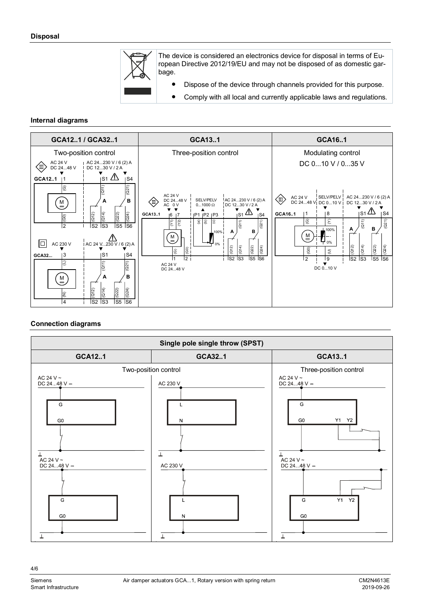

The device is considered an electronics device for disposal in terms of European Directive 2012/19/EU and may not be disposed of as domestic garbage.

- Dispose of the device through channels provided for this purpose.
- Comply with all local and currently applicable laws and regulations.

#### **Internal diagrams**



## **Connection diagrams**

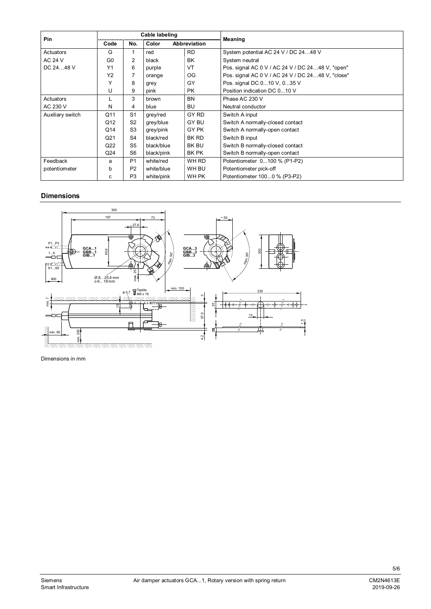| Pin              | Cable labeling  |                |            |                     |                                                   |  |  |
|------------------|-----------------|----------------|------------|---------------------|---------------------------------------------------|--|--|
|                  | Code            | No.            | Color      | <b>Abbreviation</b> | Meaning                                           |  |  |
| Actuators        | G               |                | red        | <b>RD</b>           | System potential AC 24 V / DC 2448 V              |  |  |
| <b>AC 24 V</b>   | G <sub>0</sub>  | 2              | black      | BK                  | System neutral                                    |  |  |
| DC 2448 V        | Y1              | 6              | purple     | VT                  | Pos. signal AC 0 V / AC 24 V / DC 2448 V, "open"  |  |  |
|                  | Y2              |                | orange     | OG                  | Pos. signal AC 0 V / AC 24 V / DC 2448 V, "close" |  |  |
|                  | v               | 8              | grey       | GY                  | Pos. signal DC 010 V, 035 V                       |  |  |
|                  | U               | 9              | pink       | <b>PK</b>           | Position indication DC 010 V                      |  |  |
| Actuators        |                 | 3              | brown      | <b>BN</b>           | Phase AC 230 V                                    |  |  |
| AC 230 V         | N               | 4              | blue       | BU                  | Neutral conductor                                 |  |  |
| Auxiliary switch | Q11             | S <sub>1</sub> | grey/red   | GY RD               | Switch A input                                    |  |  |
|                  | Q12             | S <sub>2</sub> | grey/blue  | GY BU               | Switch A normally-closed contact                  |  |  |
|                  | Q14             | S <sub>3</sub> | grey/pink  | GY PK               | Switch A normally-open contact                    |  |  |
|                  | Q <sub>21</sub> | S4             | black/red  | BK RD               | Switch B input                                    |  |  |
|                  | Q22             | S <sub>5</sub> | black/blue | <b>BK BU</b>        | Switch B normally-closed contact                  |  |  |
|                  | Q <sub>24</sub> | S <sub>6</sub> | black/pink | BK PK               | Switch B normally-open contact                    |  |  |
| Feedback         | a               | P <sub>1</sub> | white/red  | WH RD               | Potentiometer 0100 % (P1-P2)                      |  |  |
| potentiometer    | b               | P <sub>2</sub> | white/blue | WH BU               | Potentiometer pick-off                            |  |  |
|                  | с               | P <sub>3</sub> | white/pink | WH PK               | Potentiometer 1000 % (P3-P2)                      |  |  |

#### **Dimensions**



Dimensions in mm